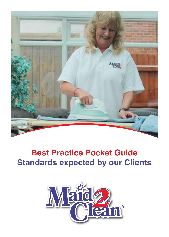

# **Best Practice Pocket Guide Standards expected by our Clients**

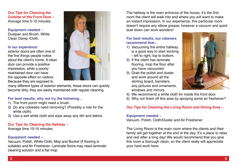**Our Tips for Cleaning the Outside of the Front Door** – Average time 5-10 minutes

**Equipment needed** – Dustpan and Brush, White Clean Damp /Cloth.

#### **In our experience:**

exterior doors are often one of the first things people notice about the client's home. A clean door can provide a positive impression, while a poorlymaintained door can have the opposite effect on visitors. Because they are exposed to



many different types of exterior elements, these doors can quickly become dirty, they are easily maintained with regular cleaning.

#### **For best results, why not try the following...**

- **1)** The front porch might need a brush.
- **2)** Do any cobwebs need removing? (Possibly a role for the white cloth).
- **3)** Use a wet white cloth and wipe away any dirt and debris.

# **Our Tips for Cleaning the Hallway** –

Average time 10-15 minutes

# **Equipment needed** –

Vacuum, Polish, White Cloth, Mop and Bucket (if flooring is suitable) and Air Freshener. Laminate floors may need laminate cleaning solution and a flat mop.

The hallway is the main entrance of the house, it's the first room the client will walk into and where you will want to make an instant impression. In our experience, this particular room doesn't require any elbow grease; however a vacuum and quick dust down can work wonders!

#### **For best results, our cleaners recommend that...**

- **1)** Vacuuming the entire hallway is a good way to start working - left to right, top to bottom.
- **2)** If the client has laminate flooring, mop the floor after you have vacuumed.
- **3)** Grab the polish and duster and work around all the skirting board, banisters, any pictures and ornaments, windows and mirrors.



**4)** We recommend a white cloth for inside the front door.

**5)** Why not finish off this area by spraying some air freshener?

## **Our Tips for Cleaning the Living Room and Dining Area** –

#### **Equipment needed** –

Vacuum, Polish, Cloth/Duster and Air Freshener.

The Living Room is the main room where the clients and their family will get together at the end of the day. It's a place to relax and rest after a long day! We would recommend that you give this room a thorough clean, so the client really will appreciate your hard work here.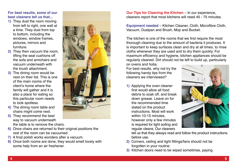#### **For best results, some of our best cleaners tell us that...**

- **1)** They dust the room moving from left to right, one wall at a time. They dust from top to bottom, including the windows, window frames, pictures, mirrors and furniture.
- **2)** They then vacuum the room, lifting the seat cushions off the sofa and armchairs and vacuum underneath with the brush attachment.
- **3)** The dining room would be next on their list. This is one of the main rooms of the client's home where the family will gather and it is also a place for eating so this particular room needs to look spotless.
- **4)** The dining room table and chairs might come next.
- **5)** They recommend the best way to vacuum underneath the table is to remove the chairs.
- **6)** Once chairs are returned to their original positions the rest of the room can be vacuumed.
- **7)** A final polish works wonders after a vacuum.
- **8)** Once both rooms are done, they would smell lovely with some help from an air freshener.



**Our Tips for Cleaning the Kitchen** – In our experience, cleaners report that most kitchens will need 45 - 75 minutes.

**Equipment needed** – Kitchen Cleaner, Cloth, Microfibre Cloth, Vacuum, Dustpan and Brush, Mop and Bucket.

The kitchen is one of the rooms that we find require the most thorough cleaning due to the amount of bacteria it produces. It is important to keep surfaces clean and dry at all times, to rinse cloths whenever they are used and to dry them quickly. For maximum efficiency and hygiene, kitchen appliances should be regularly cleaned. Dirt should not be left to build up, particularly

on ovens and hobs. For best results, why not try the following handy tips from the cleaners we interviewed?

**1)** Applying the oven cleaner first would allow all food debris to soak off, and break down grease. Leave on for the recommended time stated on the product instructions. Most will work within 10-15 minutes. however only a few minutes is required for light soiling and regular cleans. Our cleaners



tell us that they always read and follow the product instructions before use.

- **2)** Corners, ceiling and light fittings/fans should not be forgotten in your routine.
- **3)** Kitchen doors need to be wiped sometimes, paying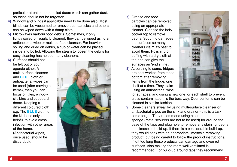particular attention to panelled doors which can gather dust, so these should not be forgotten.

- **4)** Window and blinds if applicable need to be done also. Most blinds can be vacuumed to remove dust particles and others can be wiped down with a damp cloth.
- **5)** Microwaves harbour food debris. Sometimes, if only lightly soiled or regularly cleaned, they can be wiped using an antibacterial wipe or multi-surface cleanser. For heavier soiling and dried on debris, a cup of water can be placed inside and boiled. Allowing the steam to loosen the debris for easy cleaning has helped many cleaners.

**6)** Surfaces should not be left out of your agenda either. A multi-surface cleanser and **BLUE** cloth or antibacterial wipes can be used (after moving all items), then you can focus on tiles, window sill, bins and cupboard doors. Keeping a different coloured cloth e.g. The **BLUE** cloth for the kitchens only is helpful to avoid cross infection with other areas of the home. (Antibacterial wipes, once used, should be discarded).



- **7)** Grease and food particles can be removed using an appropriate cleaner. Cleanse the hob/ cooker top to remove debris. Scouring damages the surfaces so many cleaners claim it's best to avoid them. Polishing or buffing with a dry cloth at the end can give the surfaces an 'end shine'.
- **8)** According to some, fridges are best worked from top to bottom after removing items from the fridge, one shelf at a time. They claim using an antibacterial wipe



for surfaces, and using a new one for each shelf to prevent cross contamination, is the best way. Door contents can be cleaned in similar fashion.

**9)** Some cleaners swear by using multi-surface cleanser or antibacterial wipes on the sink and drainer - this is a task some forget. They recommend using a scrub sponge (metal scourers are not to be used) for around the base of the taps and plug hole to remove any staining, debris and limescale build-up. If there is a considerable build-up, they would soak with an appropriate limescale removing product, but being careful to follow the product instructions. If left too long these products can damage and even rot surfaces. Also making the room well ventilated is recommended. For build-up around taps they recommend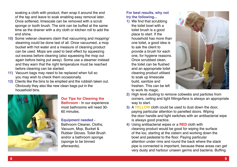soaking a cloth with product, then wrap it around the end of the tap and leave to soak enabling easy removal later. Once softened, limescale can be removed with a scrub sponge or tooth brush. The sink can be buffed at the same time as the drainer with a dry cloth or kitchen roll to add the end shine.

- **10)** Some veteran cleaners claim that vacuuming and mopping/ steaming could be done last of all. Once vacuumed, a mop bucket with hot water and a measure of cleaning product can be used. Mops are used to best effect by squeezing out excess before cleaning (also squeesing the mop out again before being put away). Some use a steamer instead and they warn that the right temperature must be reached before cleaning can be started.
- **11)** Vacuum bags may need to be replaced when full so you may wish to check them occasionally.
- **12)** Clients like the bins to be emptied and the rubbish taken out. Obviously they also like new clean bags put in the household bins.



# **Our Tips for Cleaning the Bathroom** - In our experience

most bathrooms will need 30- 60 minutes.

#### **Equipment needed** -

Bathroom Cleaner, Cloths, Vacuum, Mop, Bucket & Rubber Gloves. Toilet Brush and/or a bathroom sponge (sponge to be binned afterwards).

## **For best results, why not try the following...**

**1)** We find that scrubbing the toilet bowl with a toilet brush is a good place to start. If the household has more than one toilet, a good idea is to ask the client to provide a brush for each one, for hygiene reasons. Once scrubbed clean, the toilet can be flushed and an appropriate toilet cleaning product utilised to soak up limescale build, sanitize and freshen. This can be left to work its magic.



- **2)** High level dusting to remove cobwebs and particles from corners, ceiling and light fittings/fans is always an appropriate way to start.
- **3) A YELLOW** cloth could be used to dust down the door, paying particular attention to panelled doors. Wiping the door handle and light switches with an antibacterial wipe is always good practice.
- **4)** Using antibacterial wipes or a **RED** cloth with cleaning product would be good for wiping the surface of the loo, starting at the cistern and working down the bowl and pedestal to the floor. Paying particular attention under rims and round the back where the stack pipe is connected is important, because these areas can get very dusty and harbour unseen germs and bacteria. Buffing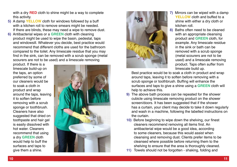with a dry **RED** cloth to shine might be a way to complete this activity.

- **5)** A damp **YELLOW** cloth for windows followed by a buff with a kitchen roll to remove smears might be needed. If there are blinds, these may need a wipe to remove dust.
- **6)** Antibacterial wipes or a **GREEN** cloth with cleaning product might be used to wipe the basin, pedestal, taps and windowsill. Whatever you decide, best practice would recommend that different cloths are used for the bathroom compared to the toilet. Any limescale residue that you may find in the sink, can be removed with a scrub sponge (metal scourers are not to be used) and a limescale removing

product. If there is a limescale build-up on the taps, an option preferred by some of our cleaners would be to soak a cloth in product and wrap around the taps, leaving it to soften before removing with a scrub sponge or toothbrush. Cleaners have also suggested that dried on toothpaste and hair gel is easily dissolved with hot water. Cleaners recommend that using a dry **GREEN** cloth would help to buff the surfaces and taps to give them a shine.





- **7)** Mirrors can be wiped with a damp **YELLOW** cloth and buffed to a shine with either a dry cloth or kitchen roll.
- **8)** Baths often need to be cleaned with an appropriate cleansing product and **GREEN** cloth, for example. Any limescale residue in the sink or bath can be removed with a scrub sponge (metal scourers are not to be used) and a limescale removing product. Taps often suffer from limescale build up.

Best practice would be to soak a cloth in product and wrap around taps, leaving it to soften before removing with a scrub sponge or toothbrush. Buffing will enhance the surfaces and taps to give a shine using a **GREEN** cloth will help to achieve this.

- **9)** The above bath process can be repeated for the shower cubicle using limescale removing product on the shower screen/doors. It has been suggested that if the shower has a curtain, your client may decide to take it down regularly and wash in a machine, following the labelled instructions on the curtain.
- **10)** Before beginning to wipe down the shelving, our finest cleaners recommend removing all items first. An antibacterial wipe would be a good idea, according to some cleaners, because this would assist when cleansing and removing dust. Clients prefer items to be cleansed where possible before returning them to the shelving to ensure that the area is thoroughly cleaned.
- **11)** Towels should not be forgotten shaking, folding and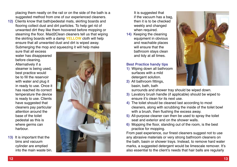placing them neatly on the rail or on the side of the bath is a suggested method from one of our experienced cleaners.

**12)** Clients know that bath/pedestal mats, skirting boards and flooring collect dust and dirt particles. To help get rid of unwanted dirt they like them hoovered before mopping or steaming the floor. Maid2Clean cleaners tell us that wiping the skirting boards with a damp **YELLOW** cloth will help ensure that all unwanted dust and dirt is wiped away. Submerging the mop and squeezing it will help make

sure that all excess water has disappeared before cleaning. Alternatively if a steamer is being used, best practice would be to fill the reservoir with water and plug it in ready to use. Once it has reached its correct temperature the device is ready to use. Clients have suggested that cleaners pay particular attention around the base of the toilet pedestal as this is where germs can harbour.

**13)** It is important that the bins and vacuum cylinder are emptied into the main waste bin.



It is suggested that if the vacuum has a bag, then it is to be checked weekly and changed when required.

**14)** Keeping the cleaning equipment in obvious and reachable places will ensure that the bathroom stays clean and tidy at all times.

#### **Best Practice handy tips**

- **1)** Wiping down all bathroom surfaces with a mild detergent solution.
- **2)** All bathroom fittings, basin, bath, bath



surrounds and shower tray should be wiped down.

- **3)** Lavatory brush handle (if applicable) should be wiped to ensure it's clean for its next use.
- **4)** The toilet should be cleaned last according to most cleaners, along with scrubbing the inside of the toilet bowl with a brush, then flushing the excess away.
- **5)** All-purpose cleaner can then be used to spray the toilet seat and exterior and on the shower walls.
- **6)** Mopping the floor, standing out of the room, is the best practice for mopping.

From past experience, our finest cleaners suggest not to use any abrasive materials or very strong bathroom cleaners on the bath, basin or shower trays. Instead, to remove hard water marks, a suggested detergent would be limescale remover. It's also essential to the client's needs that hair balls are regularly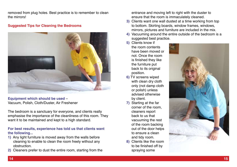removed from plug holes. Best practice is to remember to clean the mirrors!

#### **Suggested Tips for Cleaning the Bedrooms**



**Equipment which should be used** – Vacuum, Polish, Cloth/Duster, Air Freshener

The bedroom is a sanctuary for everyone, and clients really emphasise the importance of the cleanliness of this room. They want it to be maintained and kept to a high standard.

#### **For best results, experience has told us that clients want the following...**

- **1)** Any light furniture is moved away from the walls before cleaning to enable to clean the room freely without any obstruction.
- **2)** Cleaners prefer to dust the entire room, starting from the

entrance and moving left to right with the duster to ensure that the room is immaculately cleaned.

- **3)** Clients want one wall dusted at a time working from top to bottom. Skirting boards, window frames, windows, mirrors, pictures and furniture are included in the mix.
- **4)** Vacuuming around the entire outside of the bedroom is a suggested best practice.
- **5)** Clients know if the room contents have been moved or not. Once the room is finished they like the furniture put back to its original position.
- **6)** TV screens wiped with clean dry cloth only (not damp cloth or polish) unless advised otherwise by client.
- **7)** Starting at the far corner of the room, cleaners report back to us that vacuuming the rest of the room backing out of the door helps to ensure a clean and tidy room.
- **8)** Clients like the room to be finished off by spraying some

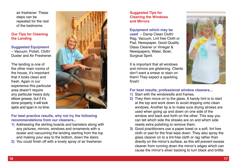air freshener. These steps can be repeated for the rest of the bedrooms.

#### **Our Tips for Cleaning the Landing**

**Suggested Equipment** – Vacuum, Polish, Cloth/ Duster and Air Freshener.

The landing is one of the other main rooms of the house, it's important that it looks clean and fresh. Again in our experience this particular area doesn't require any particular heavy duty elbow grease, but if it's done properly, it will look spick and span in no time.



## **For best practice results, why not try the following recommendations from our cleaners...**

- **1)** Addressing the skirting boards and banisters along with any pictures, mirrors, windows and ornaments with a duster and vacuuming the landing starting from the top and making your way to the bottom, down the stairs.
- **2)** You could finish off with a lovely spray of air freshener.

## **Suggested Tips for Cleaning the Windows and Mirrors**

## **Equipment which may be**

**used** – Damp Clean Cloth/ Rag, Vacuum, Lint free Cloth or Pad, Newspaper, Good Quality Glass Cleaner or Vinegar & Newspapers, Water, Bowl, Surgical Spirit.

It is important that all windows and mirrors are glistening. Clients don't want a smear or stain on them! They expect a sparkling finish!



## **For best results, professional window cleaners...**

- **1)** Start with the windowsills and frames.
- **2)** They then move on to the glass. A handy hint is to start at the top and work down to avoid dripping onto clean windows. Another tip is to make sure drying strokes are used when going up and down on one side of the window and back and forth on the other. This way you can tell which side the streaks are on and which side needs extra polishing to remove them.
- **3)** Good practitioners use a paper towel or a soft, lint free cloth or pad for the final wipe down. They also spray the glass cleaner on to a lint-free cloth or rag rather than directly on the mirror's surface, as this will prevent excess cleaner from running down the mirror's edges which can cause the mirror's silver backing to turn black and brittle.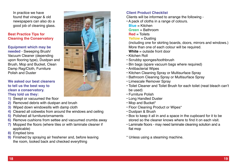In practice we have found that vinegar & old newspapers can also do a good job of cleaning glass.

#### **Best Practice Tips for Cleaning the Conservatory**

**Equipment which may be needed** - Sweeping Brush/ Vacuum Cleaner (depending upon flooring type), Dustpan and Brush, Mop and Bucket, Clean Damp Rag/Cloth, Furniture Polish and Duster

# **We asked our best cleaners to tell us the best way to clean a conservatory.**

#### **They told us they:**

- **1)** Swept or vacuumed the floor
- **2)** Removed debris with dustpan and brush
- **3)** Wiped down windowsills with damp cloth
- **4)** Cleared all cobwebs from around the windows and ceiling
- **5)** Polished all furniture/ornaments
- **6)** Remove cushions from settee and vacuumed crumbs away
- **7)** Mopped the floors (where tiles or with laminate cleaner if applicable)
- **8)** Emptied bins
- **9)** Finished by spraying air freshener and, before leaving the room, looked back and checked everything



# **Client Product Checklist**

Clients will be informed to arrange the following -

- A pack of cloths in a range of colours.
- **Blue** = Kitchen
- **Green** = Bathroom
- **Red** = Toilets
- **Yellow** = Dusting

 (including one for skirting boards, doors, mirrors and windows.) More than one of each colour will be required.

- **White** = outside front door
- Kitchen Roll
- Scrubby sponges/toothbrush
- Bin bags (spare vacuum bags where required)
- Antibacterial Wipes
- Kitchen Cleaning Spray or Multisurface Spray
- Bathroom Cleaning Spray or Multisurface Spray
- Limescale Remover Spray
- Toilet Cleaner and Toilet Brush for each toilet (neat bleach can't be used)
- Furniture Polish
- Long Handled Duster
- Mop and Bucket\*
- Floor Cleaning Product or Wipes\*
- Dustpan & Brush
- Box to keep it all in and a space in the cupboard for it to be stored so the cleaner knows where to find it on each visit.
- Laminate floors may need laminate cleaning solution and a flat mop
- \* Unless using a steaming machine.